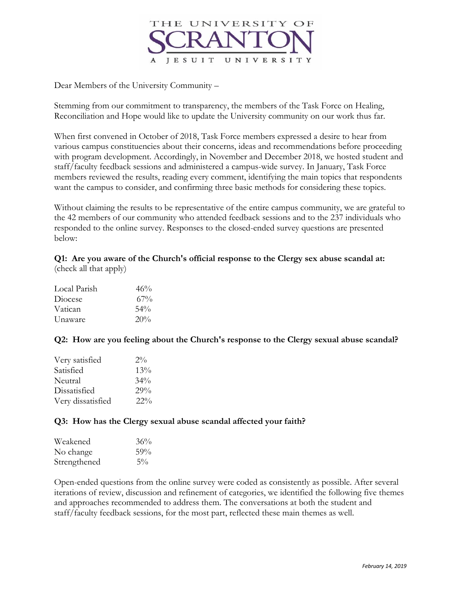

Dear Members of the University Community –

Stemming from our commitment to transparency, the members of the Task Force on Healing, Reconciliation and Hope would like to update the University community on our work thus far.

When first convened in October of 2018, Task Force members expressed a desire to hear from various campus constituencies about their concerns, ideas and recommendations before proceeding with program development. Accordingly, in November and December 2018, we hosted student and staff/faculty feedback sessions and administered a campus-wide survey. In January, Task Force members reviewed the results, reading every comment, identifying the main topics that respondents want the campus to consider, and confirming three basic methods for considering these topics.

Without claiming the results to be representative of the entire campus community, we are grateful to the 42 members of our community who attended feedback sessions and to the 237 individuals who responded to the online survey. Responses to the closed-ended survey questions are presented below:

**Q1: Are you aware of the Church's official response to the Clergy sex abuse scandal at:**  (check all that apply)

| Local Parish | 46%    |
|--------------|--------|
| Diocese      | $67\%$ |
| Vatican      | 54%    |
| Unaware      | 20%    |

**Q2: How are you feeling about the Church's response to the Clergy sexual abuse scandal?**

| Very satisfied    | $2\%$  |
|-------------------|--------|
| Satisfied         | 13%    |
| Neutral           | $34\%$ |
| Dissatisfied      | 29%    |
| Very dissatisfied | $22\%$ |

## **Q3: How has the Clergy sexual abuse scandal affected your faith?**

| Weakened     | 36%   |
|--------------|-------|
| No change    | 59%   |
| Strengthened | $5\%$ |

Open-ended questions from the online survey were coded as consistently as possible. After several iterations of review, discussion and refinement of categories, we identified the following five themes and approaches recommended to address them. The conversations at both the student and staff/faculty feedback sessions, for the most part, reflected these main themes as well.